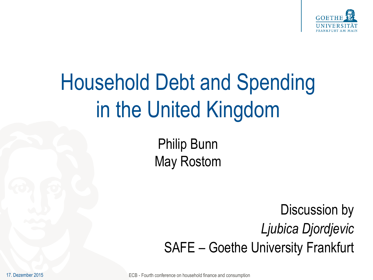

# Household Debt and Spending in the United Kingdom

Philip Bunn May Rostom

Discussion by *Ljubica Djordjevic* SAFE – Goethe University Frankfurt

ECB - Fourth conference on household finance and consumption

17. Dezember 2015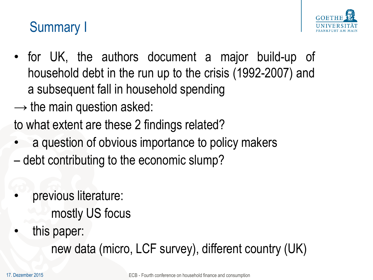

## Summary I

- for UK, the authors document a major build-up of household debt in the run up to the crisis (1992-2007) and a subsequent fall in household spending
- $\rightarrow$  the main question asked:
- to what extent are these 2 findings related?
- a question of obvious importance to policy makers
- debt contributing to the economic slump?
- previous literature: mostly US focus
- this paper:

new data (micro, LCF survey), different country (UK)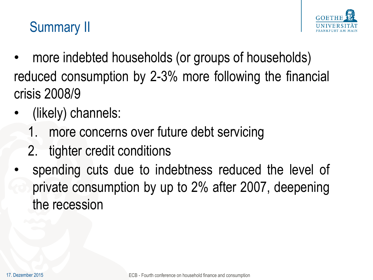

## Summary II

- more indebted households (or groups of households) reduced consumption by 2-3% more following the financial crisis 2008/9
- (likely) channels:
	- 1. more concerns over future debt servicing
	- 2. tighter credit conditions
- spending cuts due to indebtness reduced the level of private consumption by up to 2% after 2007, deepening the recession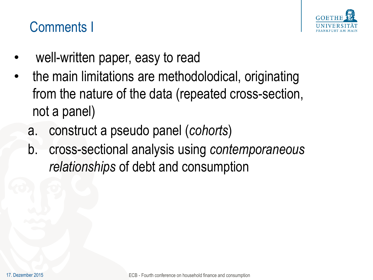

#### Comments I

- well-written paper, easy to read
- the main limitations are methodolodical, originating from the nature of the data (repeated cross-section, not a panel)
	- a. construct a pseudo panel (*cohorts*)
	- b. cross-sectional analysis using *contemporaneous relationships* of debt and consumption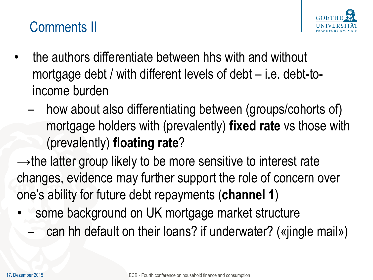

#### Comments II

- the authors differentiate between hhs with and without mortgage debt / with different levels of debt – i.e. debt-toincome burden
	- how about also differentiating between (groups/cohorts of) mortgage holders with (prevalently) **fixed rate** vs those with (prevalently) **floating rate**?
- $\rightarrow$ the latter group likely to be more sensitive to interest rate changes, evidence may further support the role of concern over one's ability for future debt repayments (**channel 1**)
- some background on UK mortgage market structure
	- can hh default on their loans? if underwater? («jingle mail»)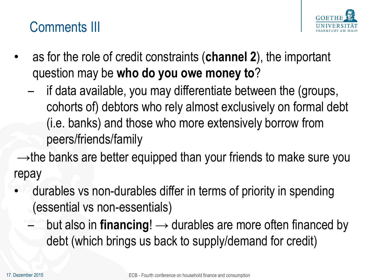

#### Comments III

- as for the role of credit constraints (**channel 2**), the important question may be **who do you owe money to**?
	- if data available, you may differentiate between the (groups, cohorts of) debtors who rely almost exclusively on formal debt (i.e. banks) and those who more extensively borrow from peers/friends/family

 $\rightarrow$ the banks are better equipped than your friends to make sure you repay

- durables vs non-durables differ in terms of priority in spending (essential vs non-essentials)
	- but also in **financing!**  $\rightarrow$  durables are more often financed by debt (which brings us back to supply/demand for credit)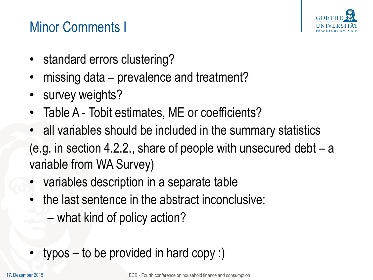

### Minor Comments I

- standard errors clustering?
- missing data prevalence and treatment?
- survey weights?
- Table A Tobit estimates, ME or coefficients?
- all variables should be included in the summary statistics (e.g. in section 4.2.2., share of people with unsecured debt – a variable from WA Survey)
- variables description in a separate table
- the last sentence in the abstract inconclusive:
	- what kind of policy action?
- typos to be provided in hard copy :)